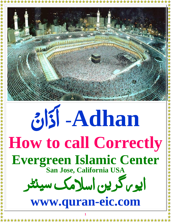

## 3151 - Adhan How to call Correctly Evergreen Islamic Center ایوس کرین اسلامک سینٹر www.quran-eic.com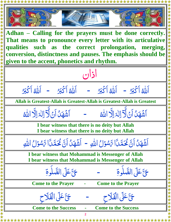

女女女女女

**Adhan – Calling for the prayers must be done correctly. That means to pronounce every letter with its articulative qualities such as the correct prolongation, merging, conversion, distinctness and pauses. The emphasis should be given to the accent, phonetics and rhythm.**